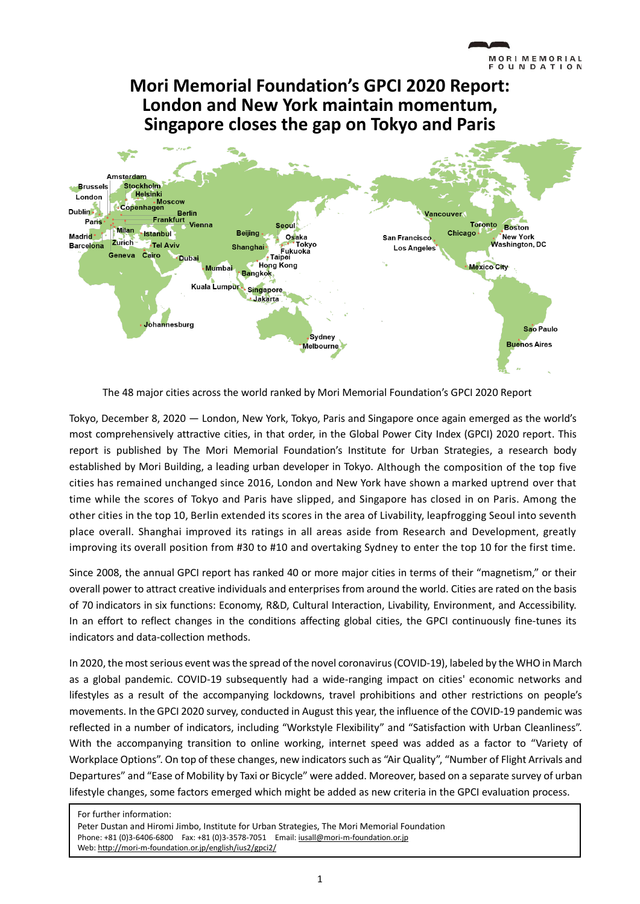# **Mori Memorial Foundation's GPCI 2020 Report: London and New York maintain momentum, Singapore closes the gap on Tokyo and Paris**



The 48 major cities across the world ranked by Mori Memorial Foundation's GPCI 2020 Report

Tokyo, December 8, 2020 — London, New York, Tokyo, Paris and Singapore once again emerged as the world's most comprehensively attractive cities, in that order, in the Global Power City Index (GPCI) 2020 report. This report is published by [The Mori Memorial Foundation's Institute for Urban Strategies,](http://mori-m-foundation.or.jp/wordpress/english/ius2) a research body established by [Mori Building,](http://www.mori.co.jp/en/) a leading urban developer in Tokyo. Although the composition of the top five cities has remained unchanged since 2016, London and New York have shown a marked uptrend over that time while the scores of Tokyo and Paris have slipped, and Singapore has closed in on Paris. Among the other cities in the top 10, Berlin extended its scores in the area of Livability, leapfrogging Seoul into seventh place overall. Shanghai improved its ratings in all areas aside from Research and Development, greatly improving its overall position from #30 to #10 and overtaking Sydney to enter the top 10 for the first time.

Since 2008, the annual GPCI report has ranked 40 or more major cities in terms of their "magnetism," or their overall power to attract creative individuals and enterprises from around the world. Cities are rated on the basis of 70 indicators in six functions: Economy, R&D, Cultural Interaction, Livability, Environment, and Accessibility. In an effort to reflect changes in the conditions affecting global cities, the GPCI continuously fine-tunes its indicators and data-collection methods.

In 2020, the most serious event was the spread of the novel coronavirus(COVID-19), labeled by the WHO in March as a global pandemic. COVID-19 subsequently had a wide-ranging impact on cities' economic networks and lifestyles as a result of the accompanying lockdowns, travel prohibitions and other restrictions on people's movements. In the GPCI 2020 survey, conducted in August this year, the influence of the COVID-19 pandemic was reflected in a number of indicators, including "Workstyle Flexibility" and "Satisfaction with Urban Cleanliness". With the accompanying transition to online working, internet speed was added as a factor to "Variety of Workplace Options". On top of these changes, new indicators such as "Air Quality", "Number of Flight Arrivals and Departures" and "Ease of Mobility by Taxi or Bicycle" were added. Moreover, based on a separate survey of urban lifestyle changes, some factors emerged which might be added as new criteria in the GPCI evaluation process.

For further information:

Peter Dustan and Hiromi Jimbo, Institute for Urban Strategies, The Mori Memorial Foundation Phone: +81 (0)3-6406-6800 Fax: +81 (0)3-3578-7051 Email[: iusall@mori-m-foundation.or.jp](mailto:iusall@mori-m-foundation.or.jp) Web[: http://mori-m-foundation.or.jp/english/ius2/gpci2/](http://mori-m-foundation.or.jp/english/ius2/gpci2/)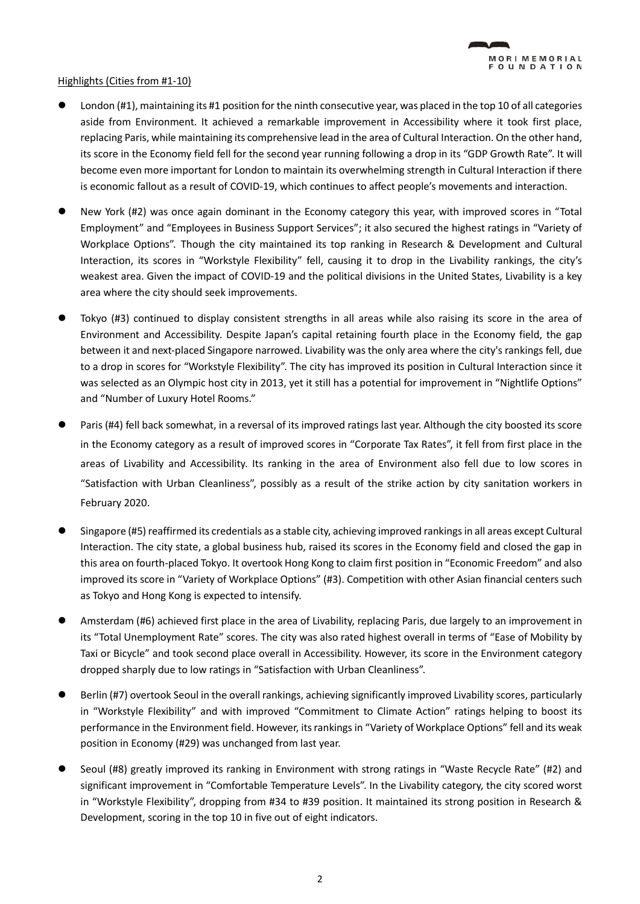### Highlights (Cities from #1-10)

- London (#1), maintaining its #1 position for the ninth consecutive year, was placed in the top 10 of all categories aside from Environment. It achieved a remarkable improvement in Accessibility where it took first place, replacing Paris, while maintaining its comprehensive lead in the area of Cultural Interaction. On the other hand, its score in the Economy field fell for the second year running following a drop in its "GDP Growth Rate". It will become even more important for London to maintain its overwhelming strength in Cultural Interaction if there is economic fallout as a result of COVID-19, which continues to affect people's movements and interaction.
- ⚫ New York (#2) was once again dominant in the Economy category this year, with improved scores in "Total Employment" and "Employees in Business Support Services"; it also secured the highest ratings in "Variety of Workplace Options". Though the city maintained its top ranking in Research & Development and Cultural Interaction, its scores in "Workstyle Flexibility" fell, causing it to drop in the Livability rankings, the city's weakest area. Given the impact of COVID-19 and the political divisions in the United States, Livability is a key area where the city should seek improvements.
- ⚫ Tokyo (#3) continued to display consistent strengths in all areas while also raising its score in the area of Environment and Accessibility. Despite Japan's capital retaining fourth place in the Economy field, the gap between it and next-placed Singapore narrowed. Livability was the only area where the city's rankings fell, due to a drop in scores for "Workstyle Flexibility". The city has improved its position in Cultural Interaction since it was selected as an Olympic host city in 2013, yet it still has a potential for improvement in "Nightlife Options" and "Number of Luxury Hotel Rooms."
- Paris (#4) fell back somewhat, in a reversal of its improved ratings last year. Although the city boosted its score in the Economy category as a result of improved scores in "Corporate Tax Rates", it fell from first place in the areas of Livability and Accessibility. Its ranking in the area of Environment also fell due to low scores in "Satisfaction with Urban Cleanliness", possibly as a result of the strike action by city sanitation workers in February 2020.
- Singapore (#5) reaffirmed its credentials as a stable city, achieving improved rankings in all areas except Cultural Interaction. The city state, a global business hub, raised its scores in the Economy field and closed the gap in this area on fourth-placed Tokyo. It overtook Hong Kong to claim first position in "Economic Freedom" and also improved its score in "Variety of Workplace Options" (#3). Competition with other Asian financial centers such as Tokyo and Hong Kong is expected to intensify.
- ⚫ Amsterdam (#6) achieved first place in the area of Livability, replacing Paris, due largely to an improvement in its "Total Unemployment Rate" scores. The city was also rated highest overall in terms of "Ease of Mobility by Taxi or Bicycle" and took second place overall in Accessibility. However, its score in the Environment category dropped sharply due to low ratings in "Satisfaction with Urban Cleanliness".
- Berlin (#7) overtook Seoul in the overall rankings, achieving significantly improved Livability scores, particularly in "Workstyle Flexibility" and with improved "Commitment to Climate Action" ratings helping to boost its performance in the Environment field. However, its rankingsin "Variety of Workplace Options" fell and its weak position in Economy (#29) was unchanged from last year.
- Seoul (#8) greatly improved its ranking in Environment with strong ratings in "Waste Recycle Rate" (#2) and significant improvement in "Comfortable Temperature Levels". In the Livability category, the city scored worst in "Workstyle Flexibility", dropping from #34 to #39 position. It maintained its strong position in Research & Development, scoring in the top 10 in five out of eight indicators.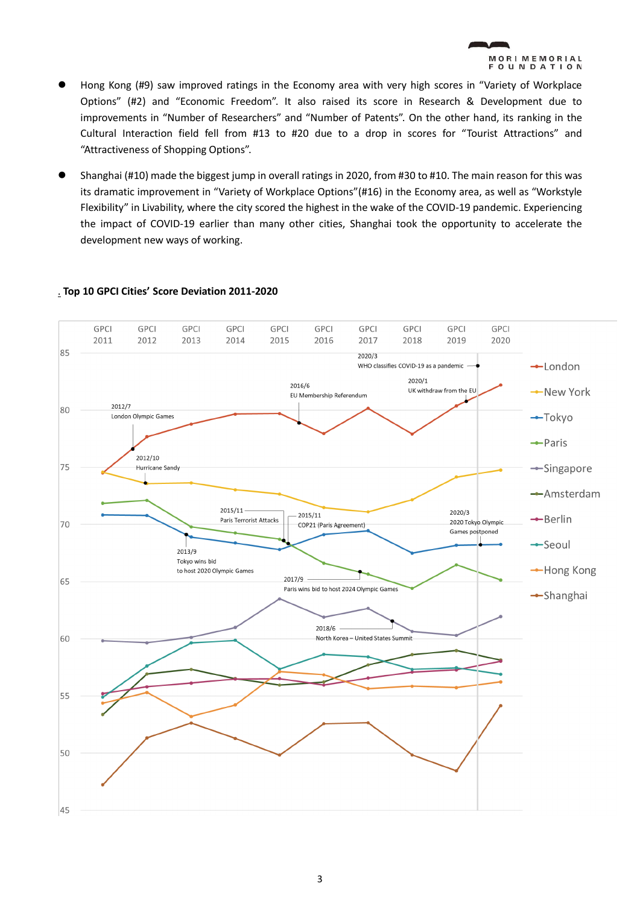

- ⚫ Hong Kong (#9) saw improved ratings in the Economy area with very high scores in "Variety of Workplace Options" (#2) and "Economic Freedom". It also raised its score in Research & Development due to improvements in "Number of Researchers" and "Number of Patents". On the other hand, its ranking in the Cultural Interaction field fell from #13 to #20 due to a drop in scores for "Tourist Attractions" and "Attractiveness of Shopping Options".
- ⚫ Shanghai (#10) made the biggest jump in overall ratings in 2020, from #30 to #10. The main reason for this was its dramatic improvement in "Variety of Workplace Options"(#16) in the Economy area, as well as "Workstyle Flexibility" in Livability, where the city scored the highest in the wake of the COVID-19 pandemic. Experiencing the impact of COVID-19 earlier than many other cities, Shanghai took the opportunity to accelerate the development new ways of working.



## . **Top 10 GPCI Cities' Score Deviation 2011-2020**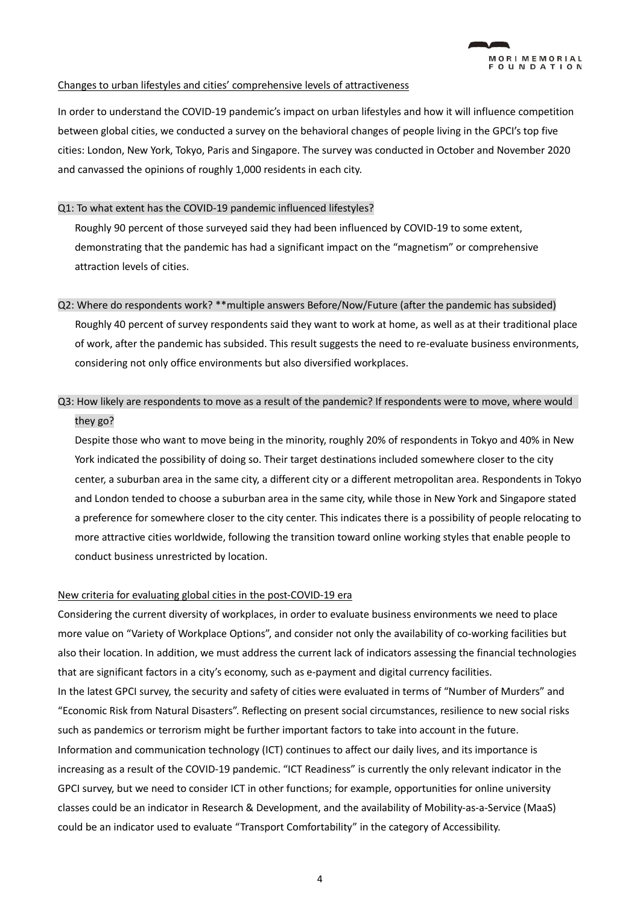#### Changes to urban lifestyles and cities' comprehensive levels of attractiveness

In order to understand the COVID-19 pandemic's impact on urban lifestyles and how it will influence competition between global cities, we conducted a survey on the behavioral changes of people living in the GPCI's top five cities: London, New York, Tokyo, Paris and Singapore. The survey was conducted in October and November 2020 and canvassed the opinions of roughly 1,000 residents in each city.

#### Q1: To what extent has the COVID-19 pandemic influenced lifestyles?

Roughly 90 percent of those surveyed said they had been influenced by COVID-19 to some extent, demonstrating that the pandemic has had a significant impact on the "magnetism" or comprehensive attraction levels of cities.

#### Q2: Where do respondents work? \*\*multiple answers Before/Now/Future (after the pandemic has subsided)

 Roughly 40 percent of survey respondents said they want to work at home, as well as at their traditional place of work, after the pandemic has subsided. This result suggests the need to re-evaluate business environments, considering not only office environments but also diversified workplaces.

# Q3: How likely are respondents to move as a result of the pandemic? If respondents were to move, where would they go?

Despite those who want to move being in the minority, roughly 20% of respondents in Tokyo and 40% in New York indicated the possibility of doing so. Their target destinations included somewhere closer to the city center, a suburban area in the same city, a different city or a different metropolitan area. Respondents in Tokyo and London tended to choose a suburban area in the same city, while those in New York and Singapore stated a preference for somewhere closer to the city center. This indicates there is a possibility of people relocating to more attractive cities worldwide, following the transition toward online working styles that enable people to conduct business unrestricted by location.

#### New criteria for evaluating global cities in the post-COVID-19 era

Considering the current diversity of workplaces, in order to evaluate business environments we need to place more value on "Variety of Workplace Options", and consider not only the availability of co-working facilities but also their location. In addition, we must address the current lack of indicators assessing the financial technologies that are significant factors in a city's economy, such as e-payment and digital currency facilities.

In the latest GPCI survey, the security and safety of cities were evaluated in terms of "Number of Murders" and "Economic Risk from Natural Disasters". Reflecting on present social circumstances, resilience to new social risks such as pandemics or terrorism might be further important factors to take into account in the future. Information and communication technology (ICT) continues to affect our daily lives, and its importance is increasing as a result of the COVID-19 pandemic. "ICT Readiness" is currently the only relevant indicator in the GPCI survey, but we need to consider ICT in other functions; for example, opportunities for online university classes could be an indicator in Research & Development, and the availability of Mobility-as-a-Service (MaaS) could be an indicator used to evaluate "Transport Comfortability" in the category of Accessibility.